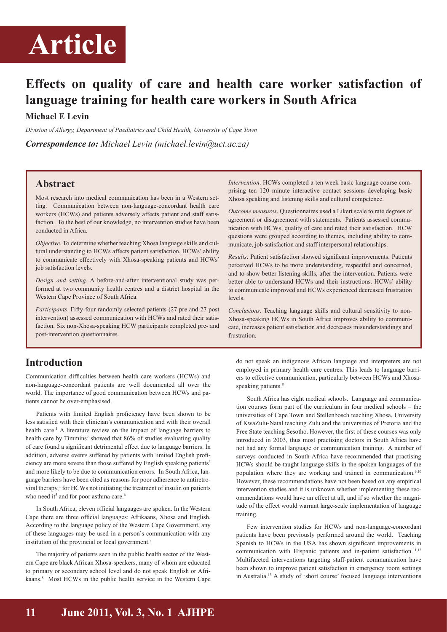

## **Effects on quality of care and health care worker satisfaction of language training for health care workers in South Africa**

#### **Michael E Levin**

*Division of Allergy, Department of Paediatrics and Child Health, University of Cape Town*

*Correspondence to: Michael Levin (michael.levin@uct.ac.za)*

#### **Abstract**

Most research into medical communication has been in a Western setting. Communication between non-language-concordant health care workers (HCWs) and patients adversely affects patient and staff satisfaction. To the best of our knowledge, no intervention studies have been conducted in Africa.

*Objective*. To determine whether teaching Xhosa language skills and cultural understanding to HCWs affects patient satisfaction, HCWs' ability to communicate effectively with Xhosa-speaking patients and HCWs' job satisfaction levels.

*Design and setting*. A before-and-after interventional study was performed at two community health centres and a district hospital in the Western Cape Province of South Africa.

*Participants*. Fifty-four randomly selected patients (27 pre and 27 post intervention) assessed communication with HCWs and rated their satisfaction. Six non-Xhosa-speaking HCW participants completed pre- and post-intervention questionnaires.

#### **Introduction**

Communication difficulties between health care workers (HCWs) and non-language-concordant patients are well documented all over the world. The importance of good communication between HCWs and patients cannot be over-emphasised.

Patients with limited English proficiency have been shown to be less satisfied with their clinician's communication and with their overall health care.<sup>1</sup> A literature review on the impact of language barriers to health care by Timmins<sup>2</sup> showed that 86% of studies evaluating quality of care found a significant detrimental effect due to language barriers. In addition, adverse events suffered by patients with limited English proficiency are more severe than those suffered by English speaking patients<sup>3</sup> and more likely to be due to communication errors. In South Africa, language barriers have been cited as reasons for poor adherence to antiretroviral therapy,<sup>4</sup> for HCWs not initiating the treatment of insulin on patients who need it<sup>5</sup> and for poor asthma care.<sup>6</sup>

In South Africa, eleven official languages are spoken. In the Western Cape there are three official languages: Afrikaans, Xhosa and English. According to the language policy of the Western Cape Government, any of these languages may be used in a person's communication with any institution of the provincial or local government.<sup>7</sup>

The majority of patients seen in the public health sector of the Western Cape are black African Xhosa-speakers, many of whom are educated to primary or secondary school level and do not speak English or Afrikaans.<sup>8</sup> Most HCWs in the public health service in the Western Cape *Intervention*. HCWs completed a ten week basic language course comprising ten 120 minute interactive contact sessions developing basic Xhosa speaking and listening skills and cultural competence.

*Outcome measures*. Questionnaires used a Likert scale to rate degrees of agreement or disagreement with statements. Patients assessed communication with HCWs, quality of care and rated their satisfaction. HCW questions were grouped according to themes, including ability to communicate, job satisfaction and staff interpersonal relationships.

*Results*. Patient satisfaction showed significant improvements. Patients perceived HCWs to be more understanding, respectful and concerned, and to show better listening skills, after the intervention. Patients were better able to understand HCWs and their instructions. HCWs' ability to communicate improved and HCWs experienced decreased frustration levels.

*Conclusions*. Teaching language skills and cultural sensitivity to non-Xhosa-speaking HCWs in South Africa improves ability to communicate, increases patient satisfaction and decreases misunderstandings and frustration.

do not speak an indigenous African language and interpreters are not employed in primary health care centres. This leads to language barriers to effective communication, particularly between HCWs and Xhosaspeaking patients.<sup>8</sup>

South Africa has eight medical schools. Language and communication courses form part of the curriculum in four medical schools – the universities of Cape Town and Stellenbosch teaching Xhosa, University of KwaZulu-Natal teaching Zulu and the universities of Pretoria and the Free State teaching Sesotho. However, the first of these courses was only introduced in 2003, thus most practising doctors in South Africa have not had any formal language or communication training. A number of surveys conducted in South Africa have recommended that practising HCWs should be taught language skills in the spoken languages of the population where they are working and trained in communication.<sup>9,10</sup> However, these recommendations have not been based on any empirical intervention studies and it is unknown whether implementing these recommendations would have an effect at all, and if so whether the magnitude of the effect would warrant large-scale implementation of language training.

Few intervention studies for HCWs and non-language-concordant patients have been previously performed around the world. Teaching Spanish to HCWs in the USA has shown significant improvements in communication with Hispanic patients and in-patient satisfaction.<sup>11,12</sup> Multifaceted interventions targeting staff-patient communication have been shown to improve patient satisfaction in emergency room settings in Australia.<sup>13</sup> A study of 'short course' focused language interventions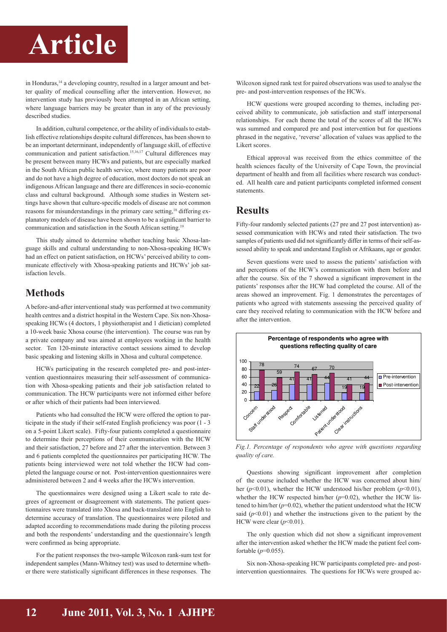

in Honduras,<sup>14</sup> a developing country, resulted in a larger amount and better quality of medical counselling after the intervention. However, no intervention study has previously been attempted in an African setting, where language barriers may be greater than in any of the previously described studies.

In addition, cultural competence, or the ability of individuals to establish effective relationships despite cultural differences, has been shown to be an important determinant, independently of language skill, of effective communication and patient satisfaction.15,16,17 Cultural differences may be present between many HCWs and patients, but are especially marked in the South African public health service, where many patients are poor and do not have a high degree of education, most doctors do not speak an indigenous African language and there are differences in socio-economic class and cultural background. Although some studies in Western settings have shown that culture-specific models of disease are not common reasons for misunderstandings in the primary care setting,<sup>18</sup> differing explanatory models of disease have been shown to be a significant barrier to communication and satisfaction in the South African setting.<sup>19</sup>

This study aimed to determine whether teaching basic Xhosa-language skills and cultural understanding to non-Xhosa-speaking HCWs had an effect on patient satisfaction, on HCWs' perceived ability to communicate effectively with Xhosa-speaking patients and HCWs' job satisfaction levels.

#### **Methods**

A before-and-after interventional study was performed at two community health centres and a district hospital in the Western Cape. Six non-Xhosaspeaking HCWs (4 doctors, 1 physiotherapist and 1 dietician) completed a 10-week basic Xhosa course (the intervention). The course was run by a private company and was aimed at employees working in the health sector. Ten 120-minute interactive contact sessions aimed to develop basic speaking and listening skills in Xhosa and cultural competence.

HCWs participating in the research completed pre- and post-intervention questionnaires measuring their self-assessment of communication with Xhosa-speaking patients and their job satisfaction related to communication. The HCW participants were not informed either before or after which of their patients had been interviewed.

Patients who had consulted the HCW were offered the option to participate in the study if their self-rated English proficiency was poor (1 - 3 on a 5-point Likert scale). Fifty-four patients completed a questionnaire to determine their perceptions of their communication with the HCW and their satisfaction, 27 before and 27 after the intervention. Between 3 and 6 patients completed the questionnaires per participating HCW. The patients being interviewed were not told whether the HCW had completed the language course or not. Post-intervention questionnaires were administered between 2 and 4 weeks after the HCWs intervention.

The questionnaires were designed using a Likert scale to rate degrees of agreement or disagreement with statements. The patient questionnaires were translated into Xhosa and back-translated into English to determine accuracy of translation. The questionnaires were piloted and adapted according to recommendations made during the piloting process and both the respondents' understanding and the questionnaire's length were confirmed as being appropriate.

For the patient responses the two-sample Wilcoxon rank-sum test for independent samples (Mann-Whitney test) was used to determine whether there were statistically significant differences in these responses. The

Wilcoxon signed rank test for paired observations was used to analyse the pre- and post-intervention responses of the HCWs.

HCW questions were grouped according to themes, including perceived ability to communicate, job satisfaction and staff interpersonal relationships. For each theme the total of the scores of all the HCWs was summed and compared pre and post intervention but for questions phrased in the negative, 'reverse' allocation of values was applied to the Likert scores.

Ethical approval was received from the ethics committee of the health sciences faculty of the University of Cape Town, the provincial department of health and from all facilities where research was conducted. All health care and patient participants completed informed consent statements.

#### **Results**

Fifty-four randomly selected patients (27 pre and 27 post intervention) assessed communication with HCWs and rated their satisfaction. The two samples of patients used did not significantly differ in terms of their self-assessed ability to speak and understand English or Afrikaans, age or gender.

Seven questions were used to assess the patients' satisfaction with and perceptions of the HCW's communication with them before and after the course. Six of the 7 showed a significant improvement in the patients' responses after the HCW had completed the course. All of the areas showed an improvement. Fig. 1 demonstrates the percentages of patients who agreed with statements assessing the perceived quality of care they received relating to communication with the HCW before and after the intervention.



*Fig.1. Percentage of respondents who agree with questions regarding quality of care.*

Questions showing significant improvement after completion of the course included whether the HCW was concerned about him/ her ( $p$ <0.01), whether the HCW understood his/her problem ( $p$ <0.01), whether the HCW respected him/her  $(p=0.02)$ , whether the HCW listened to him/her  $(p=0.02)$ , whether the patient understood what the HCW said  $(p<0.01)$  and whether the instructions given to the patient by the HCW were clear  $(p<0.01)$ .

The only question which did not show a significant improvement after the intervention asked whether the HCW made the patient feel comfortable (*p*=0.055).

Six non-Xhosa-speaking HCW participants completed pre- and postintervention questionnaires. The questions for HCWs were grouped ac-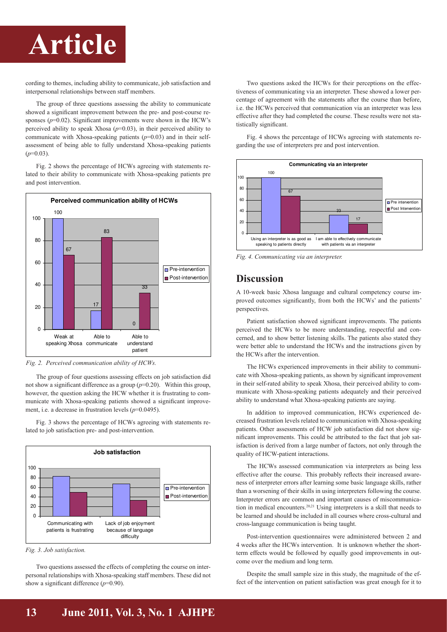

cording to themes, including ability to communicate, job satisfaction and interpersonal relationships between staff members.

The group of three questions assessing the ability to communicate showed a significant improvement between the pre- and post-course responses  $(p=0.02)$ . Significant improvements were shown in the HCW's perceived ability to speak Xhosa  $(p=0.03)$ , in their perceived ability to communicate with Xhosa-speaking patients (*p*=0.03) and in their selfassessment of being able to fully understand Xhosa-speaking patients  $(p=0.03)$ .

Fig. 2 shows the percentage of HCWs agreeing with statements related to their ability to communicate with Xhosa-speaking patients pre and next intermedian and post intervention.



*Fig. 2. Perceived communication ability of HCWs.*

The group of four questions assessing effects on job satisfaction did not show a significant difference as a group  $(p=0.20)$ . Within this group, however, the question asking the HCW whether it is frustrating to communicate with Xhosa-speaking patients showed a significant improvement, i.e. a decrease in frustration levels ( $p=0.0495$ ).

Fig. 3 shows the percentage of HCWs agreeing with statements related to job satisfaction pre- and post-intervention.



*Fig. 3. Job satisfaction.*

Two questions assessed the effects of completing the course on interpersonal relationships with Xhosa-speaking staff members. These did not show a significant difference (*p*=0.90).

Two questions asked the HCWs for their perceptions on the effectiveness of communicating via an interpreter. These showed a lower percentage of agreement with the statements after the course than before, i.e. the HCWs perceived that communication via an interpreter was less effective after they had completed the course. These results were not statistically significant.

Fig. 4 shows the percentage of HCWs agreeing with statements regarding the use of interpreters pre and post intervention.



*Fig. 4. Communicating via an interpreter.*

#### **Discussion**

A 10-week basic Xhosa language and cultural competency course improved outcomes significantly, from both the HCWs' and the patients' perspectives.

Patient satisfaction showed significant improvements. The patients perceived the HCWs to be more understanding, respectful and concerned, and to show better listening skills. The patients also stated they were better able to understand the HCWs and the instructions given by the HCWs after the intervention.

The HCWs experienced improvements in their ability to communicate with Xhosa-speaking patients, as shown by significant improvement in their self-rated ability to speak Xhosa, their perceived ability to communicate with Xhosa-speaking patients adequately and their perceived ability to understand what Xhosa-speaking patients are saying.

In addition to improved communication, HCWs experienced decreased frustration levels related to communication with Xhosa-speaking patients. Other assessments of HCW job satisfaction did not show significant improvements. This could be attributed to the fact that job satisfaction is derived from a large number of factors, not only through the quality of HCW-patient interactions.

The HCWs assessed communication via interpreters as being less effective after the course. This probably reflects their increased awareness of interpreter errors after learning some basic language skills, rather than a worsening of their skills in using interpreters following the course. Interpreter errors are common and important causes of miscommunication in medical encounters.20,21 Using interpreters is a skill that needs to be learned and should be included in all courses where cross-cultural and cross-language communication is being taught.

Post-intervention questionnaires were administered between 2 and 4 weeks after the HCWs intervention. It is unknown whether the shortterm effects would be followed by equally good improvements in outcome over the medium and long term.

Despite the small sample size in this study, the magnitude of the effect of the intervention on patient satisfaction was great enough for it to